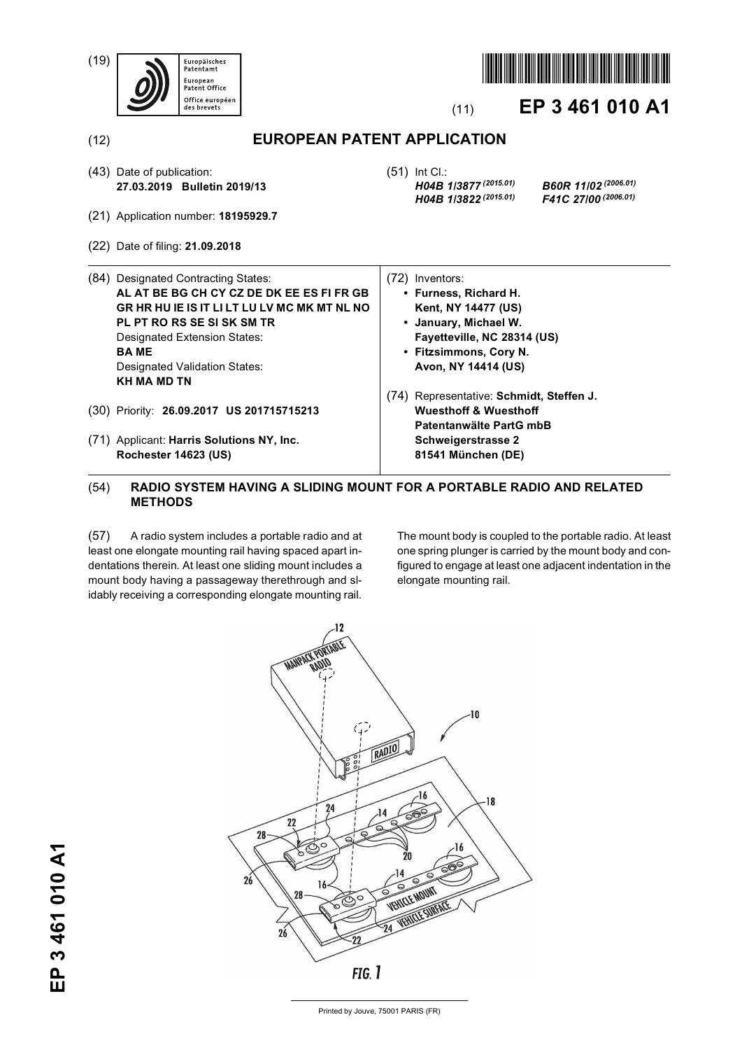(19)





# (11) **EP 3 461 010 A1**

*H04B 1/3877 (2015.01) B60R 11/02 (2006.01)*

(12) **EUROPEAN PATENT APPLICATION**

(51) Int Cl.:

- (43) Date of publication: **27.03.2019 Bulletin 2019/13**
- (21) Application number: **18195929.7**
- (22) Date of filing: **21.09.2018**
- (84) Designated Contracting States: **AL AT BE BG CH CY CZ DE DK EE ES FI FR GB GR HR HU IE IS IT LI LT LU LV MC MK MT NL NO PL PT RO RS SE SI SK SM TR** Designated Extension States: **BA ME** Designated Validation States: **KH MA MD TN**
- (30) Priority: **26.09.2017 US 201715715213**
- (71) Applicant: **Harris Solutions NY, Inc. Rochester 14623 (US)**

# (72) Inventors: **• Furness, Richard H. Kent, NY 14477 (US)**

*H04B 1/3822 (2015.01) F41C 27/00 (2006.01)*

- **January, Michael W. Fayetteville, NC 28314 (US)**
- **Fitzsimmons, Cory N. Avon, NY 14414 (US)**
- (74) Representative: **Schmidt, Steffen J. Wuesthoff & Wuesthoff Patentanwälte PartG mbB Schweigerstrasse 2 81541 München (DE)**

## (54) **RADIO SYSTEM HAVING A SLIDING MOUNT FOR A PORTABLE RADIO AND RELATED METHODS**

(57) A radio system includes a portable radio and at least one elongate mounting rail having spaced apart indentations therein. At least one sliding mount includes a mount body having a passageway therethrough and slidably receiving a corresponding elongate mounting rail.

The mount body is coupled to the portable radio. At least one spring plunger is carried by the mount body and configured to engage at least one adjacent indentation in the elongate mounting rail.



Printed by Jouve, 75001 PARIS (FR)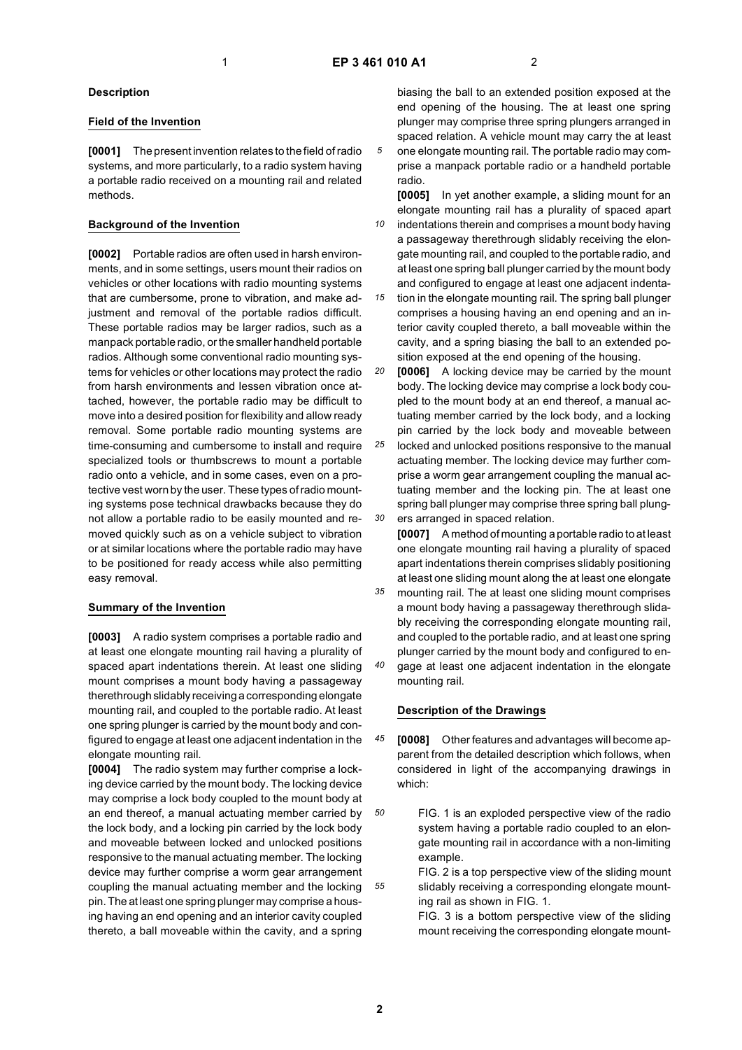radio.

#### **Description**

#### **Field of the Invention**

**[0001]** The present invention relates to the field of radio systems, and more particularly, to a radio system having a portable radio received on a mounting rail and related methods.

#### **Background of the Invention**

**[0002]** Portable radios are often used in harsh environments, and in some settings, users mount their radios on vehicles or other locations with radio mounting systems that are cumbersome, prone to vibration, and make adjustment and removal of the portable radios difficult. These portable radios may be larger radios, such as a manpack portable radio, or the smaller handheld portable radios. Although some conventional radio mounting systems for vehicles or other locations may protect the radio from harsh environments and lessen vibration once attached, however, the portable radio may be difficult to move into a desired position for flexibility and allow ready removal. Some portable radio mounting systems are time-consuming and cumbersome to install and require specialized tools or thumbscrews to mount a portable radio onto a vehicle, and in some cases, even on a protective vest worn by the user. These types of radio mounting systems pose technical drawbacks because they do not allow a portable radio to be easily mounted and removed quickly such as on a vehicle subject to vibration or at similar locations where the portable radio may have to be positioned for ready access while also permitting easy removal.

#### **Summary of the Invention**

**[0003]** A radio system comprises a portable radio and at least one elongate mounting rail having a plurality of spaced apart indentations therein. At least one sliding mount comprises a mount body having a passageway therethrough slidably receiving a corresponding elongate mounting rail, and coupled to the portable radio. At least one spring plunger is carried by the mount body and configured to engage at least one adjacent indentation in the elongate mounting rail.

**[0004]** The radio system may further comprise a locking device carried by the mount body. The locking device may comprise a lock body coupled to the mount body at an end thereof, a manual actuating member carried by the lock body, and a locking pin carried by the lock body and moveable between locked and unlocked positions responsive to the manual actuating member. The locking device may further comprise a worm gear arrangement coupling the manual actuating member and the locking pin. The at least one spring plunger may comprise a housing having an end opening and an interior cavity coupled thereto, a ball moveable within the cavity, and a spring

biasing the ball to an extended position exposed at the end opening of the housing. The at least one spring plunger may comprise three spring plungers arranged in spaced relation. A vehicle mount may carry the at least one elongate mounting rail. The portable radio may comprise a manpack portable radio or a handheld portable

**[0005]** In yet another example, a sliding mount for an elongate mounting rail has a plurality of spaced apart

*10* indentations therein and comprises a mount body having a passageway therethrough slidably receiving the elongate mounting rail, and coupled to the portable radio, and at least one spring ball plunger carried by the mount body and configured to engage at least one adjacent indenta-

*15* tion in the elongate mounting rail. The spring ball plunger comprises a housing having an end opening and an interior cavity coupled thereto, a ball moveable within the cavity, and a spring biasing the ball to an extended position exposed at the end opening of the housing.

*20* **[0006]** A locking device may be carried by the mount body. The locking device may comprise a lock body coupled to the mount body at an end thereof, a manual actuating member carried by the lock body, and a locking pin carried by the lock body and moveable between

*25 30* locked and unlocked positions responsive to the manual actuating member. The locking device may further comprise a worm gear arrangement coupling the manual actuating member and the locking pin. The at least one spring ball plunger may comprise three spring ball plungers arranged in spaced relation.

**[0007]** A method of mounting a portable radio to at least one elongate mounting rail having a plurality of spaced apart indentations therein comprises slidably positioning at least one sliding mount along the at least one elongate

*35 40* mounting rail. The at least one sliding mount comprises a mount body having a passageway therethrough slidably receiving the corresponding elongate mounting rail, and coupled to the portable radio, and at least one spring plunger carried by the mount body and configured to engage at least one adjacent indentation in the elongate mounting rail.

#### **Description of the Drawings**

- *45* **[0008]** Other features and advantages will become apparent from the detailed description which follows, when considered in light of the accompanying drawings in which:
- *50* FIG. 1 is an exploded perspective view of the radio system having a portable radio coupled to an elongate mounting rail in accordance with a non-limiting example.

FIG. 2 is a top perspective view of the sliding mount slidably receiving a corresponding elongate mounting rail as shown in FIG. 1.

FIG. 3 is a bottom perspective view of the sliding mount receiving the corresponding elongate mount-

*55*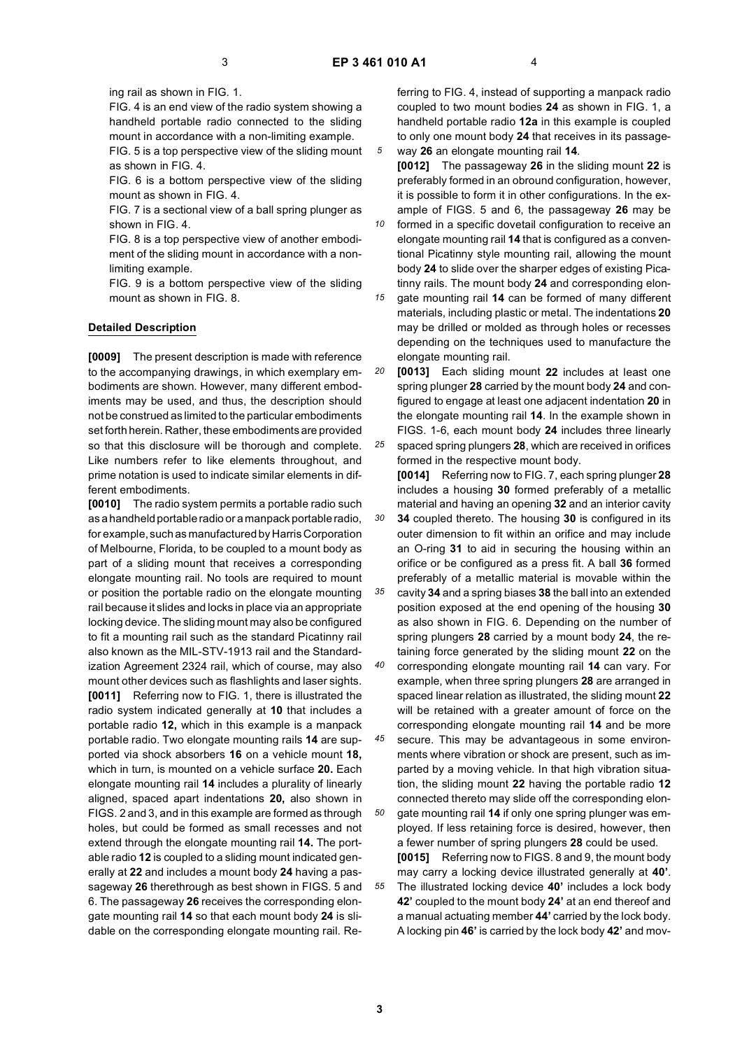*30*

*35*

*40*

ing rail as shown in FIG. 1.

FIG. 4 is an end view of the radio system showing a handheld portable radio connected to the sliding mount in accordance with a non-limiting example.

FIG. 5 is a top perspective view of the sliding mount as shown in FIG. 4.

FIG. 6 is a bottom perspective view of the sliding mount as shown in FIG. 4.

FIG. 7 is a sectional view of a ball spring plunger as shown in FIG. 4.

FIG. 8 is a top perspective view of another embodiment of the sliding mount in accordance with a nonlimiting example.

FIG. 9 is a bottom perspective view of the sliding mount as shown in FIG. 8.

#### **Detailed Description**

**[0009]** The present description is made with reference to the accompanying drawings, in which exemplary embodiments are shown. However, many different embodiments may be used, and thus, the description should not be construed as limited to the particular embodiments set forth herein. Rather, these embodiments are provided so that this disclosure will be thorough and complete. Like numbers refer to like elements throughout, and prime notation is used to indicate similar elements in different embodiments.

**[0010]** The radio system permits a portable radio such as a handheld portable radio or a manpack portable radio, for example, such as manufactured by Harris Corporation of Melbourne, Florida, to be coupled to a mount body as part of a sliding mount that receives a corresponding elongate mounting rail. No tools are required to mount or position the portable radio on the elongate mounting rail because it slides and locks in place via an appropriate locking device. The sliding mount may also be configured to fit a mounting rail such as the standard Picatinny rail also known as the MIL-STV-1913 rail and the Standardization Agreement 2324 rail, which of course, may also mount other devices such as flashlights and laser sights. **[0011]** Referring now to FIG. 1, there is illustrated the radio system indicated generally at **10** that includes a portable radio **12,** which in this example is a manpack portable radio. Two elongate mounting rails **14** are supported via shock absorbers **16** on a vehicle mount **18,** which in turn, is mounted on a vehicle surface **20.** Each elongate mounting rail **14** includes a plurality of linearly aligned, spaced apart indentations **20,** also shown in FIGS. 2 and 3, and in this example are formed as through holes, but could be formed as small recesses and not extend through the elongate mounting rail **14.** The portable radio **12** is coupled to a sliding mount indicated generally at **22** and includes a mount body **24** having a passageway **26** therethrough as best shown in FIGS. 5 and 6. The passageway **26** receives the corresponding elongate mounting rail **14** so that each mount body **24** is slidable on the corresponding elongate mounting rail. Re-

ferring to FIG. 4, instead of supporting a manpack radio coupled to two mount bodies **24** as shown in FIG. 1, a handheld portable radio **12a** in this example is coupled to only one mount body **24** that receives in its passageway **26** an elongate mounting rail **14**.

**[0012]** The passageway **26** in the sliding mount **22** is preferably formed in an obround configuration, however, it is possible to form it in other configurations. In the example of FIGS. 5 and 6, the passageway **26** may be

*10* formed in a specific dovetail configuration to receive an elongate mounting rail **14** that is configured as a conventional Picatinny style mounting rail, allowing the mount body **24** to slide over the sharper edges of existing Picatinny rails. The mount body **24** and corresponding elon-

*15* gate mounting rail **14** can be formed of many different materials, including plastic or metal. The indentations **20** may be drilled or molded as through holes or recesses depending on the techniques used to manufacture the elongate mounting rail.

*20* **[0013]** Each sliding mount **22** includes at least one spring plunger **28** carried by the mount body **24** and configured to engage at least one adjacent indentation **20** in the elongate mounting rail **14**. In the example shown in FIGS. 1-6, each mount body **24** includes three linearly

*25* spaced spring plungers **28**, which are received in orifices formed in the respective mount body.

**[0014]** Referring now to FIG. 7, each spring plunger **28** includes a housing **30** formed preferably of a metallic material and having an opening **32** and an interior cavity **34** coupled thereto. The housing **30** is configured in its outer dimension to fit within an orifice and may include an O-ring **31** to aid in securing the housing within an orifice or be configured as a press fit. A ball **36** formed preferably of a metallic material is movable within the cavity **34** and a spring biases **38** the ball into an extended

position exposed at the end opening of the housing **30** as also shown in FIG. 6. Depending on the number of spring plungers **28** carried by a mount body **24**, the retaining force generated by the sliding mount **22** on the corresponding elongate mounting rail **14** can vary. For example, when three spring plungers **28** are arranged in spaced linear relation as illustrated, the sliding mount **22**

*45* will be retained with a greater amount of force on the corresponding elongate mounting rail **14** and be more secure. This may be advantageous in some environments where vibration or shock are present, such as imparted by a moving vehicle. In that high vibration situa-

*50* tion, the sliding mount **22** having the portable radio **12** connected thereto may slide off the corresponding elongate mounting rail **14** if only one spring plunger was employed. If less retaining force is desired, however, then

a fewer number of spring plungers **28** could be used. **[0015]** Referring now to FIGS. 8 and 9, the mount body may carry a locking device illustrated generally at **40'**. The illustrated locking device **40'** includes a lock body **42'** coupled to the mount body **24'** at an end thereof and a manual actuating member **44'** carried by the lock body. A locking pin **46'** is carried by the lock body **42'** and mov-

*55*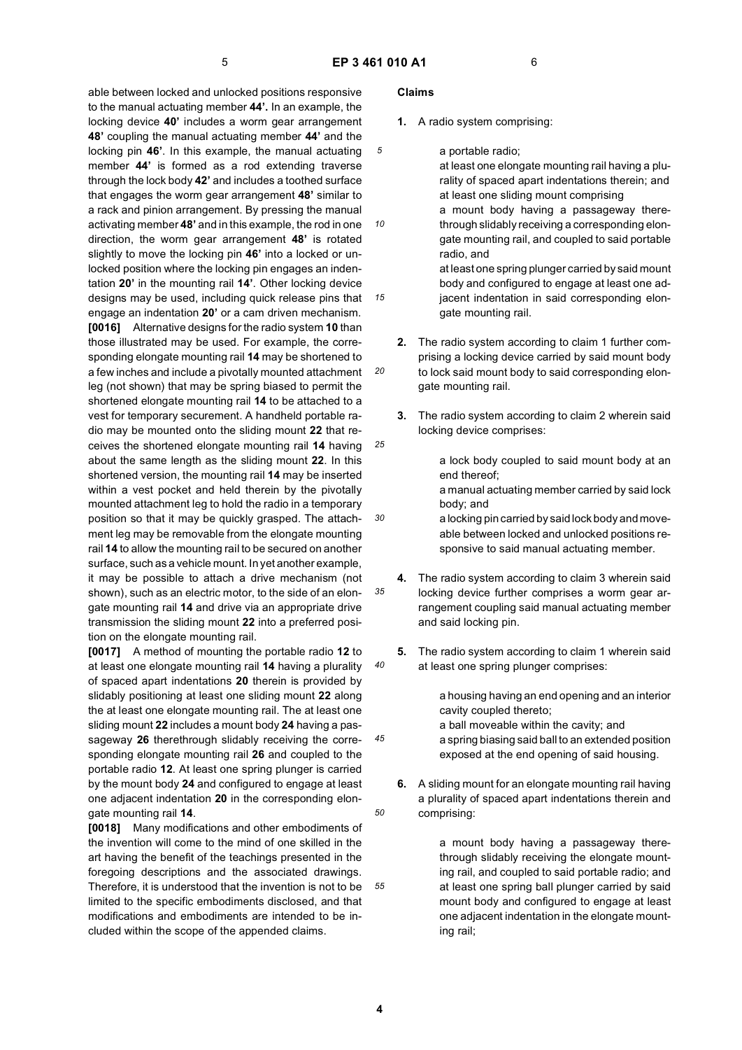*10*

*15*

*20*

*25*

*30*

*35*

*40*

*45*

*50*

*55*

able between locked and unlocked positions responsive to the manual actuating member **44'.** In an example, the locking device **40'** includes a worm gear arrangement **48'** coupling the manual actuating member **44'** and the locking pin **46'**. In this example, the manual actuating member **44'** is formed as a rod extending traverse through the lock body **42'** and includes a toothed surface that engages the worm gear arrangement **48'** similar to a rack and pinion arrangement. By pressing the manual activating member **48'** and in this example, the rod in one direction, the worm gear arrangement **48'** is rotated slightly to move the locking pin **46'** into a locked or unlocked position where the locking pin engages an indentation **20'** in the mounting rail **14'**. Other locking device designs may be used, including quick release pins that engage an indentation **20'** or a cam driven mechanism. **[0016]** Alternative designs for the radio system **10** than those illustrated may be used. For example, the corresponding elongate mounting rail **14** may be shortened to a few inches and include a pivotally mounted attachment leg (not shown) that may be spring biased to permit the shortened elongate mounting rail **14** to be attached to a vest for temporary securement. A handheld portable radio may be mounted onto the sliding mount **22** that receives the shortened elongate mounting rail **14** having about the same length as the sliding mount **22**. In this shortened version, the mounting rail **14** may be inserted within a vest pocket and held therein by the pivotally mounted attachment leg to hold the radio in a temporary position so that it may be quickly grasped. The attachment leg may be removable from the elongate mounting rail **14** to allow the mounting rail to be secured on another surface, such as a vehicle mount. In yet another example, it may be possible to attach a drive mechanism (not shown), such as an electric motor, to the side of an elongate mounting rail **14** and drive via an appropriate drive transmission the sliding mount **22** into a preferred position on the elongate mounting rail.

**[0017]** A method of mounting the portable radio **12** to at least one elongate mounting rail **14** having a plurality of spaced apart indentations **20** therein is provided by slidably positioning at least one sliding mount **22** along the at least one elongate mounting rail. The at least one sliding mount **22** includes a mount body **24** having a passageway **26** therethrough slidably receiving the corresponding elongate mounting rail **26** and coupled to the portable radio **12**. At least one spring plunger is carried by the mount body **24** and configured to engage at least one adjacent indentation **20** in the corresponding elongate mounting rail **14**.

**[0018]** Many modifications and other embodiments of the invention will come to the mind of one skilled in the art having the benefit of the teachings presented in the foregoing descriptions and the associated drawings. Therefore, it is understood that the invention is not to be limited to the specific embodiments disclosed, and that modifications and embodiments are intended to be included within the scope of the appended claims.

### **Claims**

**1.** A radio system comprising:

a portable radio; at least one elongate mounting rail having a plurality of spaced apart indentations therein; and at least one sliding mount comprising a mount body having a passageway therethrough slidably receiving a corresponding elongate mounting rail, and coupled to said portable radio, and at least one spring plunger carried by said mount body and configured to engage at least one adjacent indentation in said corresponding elongate mounting rail.

- **2.** The radio system according to claim 1 further comprising a locking device carried by said mount body to lock said mount body to said corresponding elongate mounting rail.
- **3.** The radio system according to claim 2 wherein said locking device comprises:

a lock body coupled to said mount body at an end thereof;

a manual actuating member carried by said lock body; and

a locking pin carried by said lock body and moveable between locked and unlocked positions responsive to said manual actuating member.

- **4.** The radio system according to claim 3 wherein said locking device further comprises a worm gear arrangement coupling said manual actuating member and said locking pin.
- **5.** The radio system according to claim 1 wherein said at least one spring plunger comprises:

a housing having an end opening and an interior cavity coupled thereto; a ball moveable within the cavity; and a spring biasing said ball to an extended position exposed at the end opening of said housing.

**6.** A sliding mount for an elongate mounting rail having a plurality of spaced apart indentations therein and comprising:

> a mount body having a passageway therethrough slidably receiving the elongate mounting rail, and coupled to said portable radio; and at least one spring ball plunger carried by said mount body and configured to engage at least one adjacent indentation in the elongate mounting rail;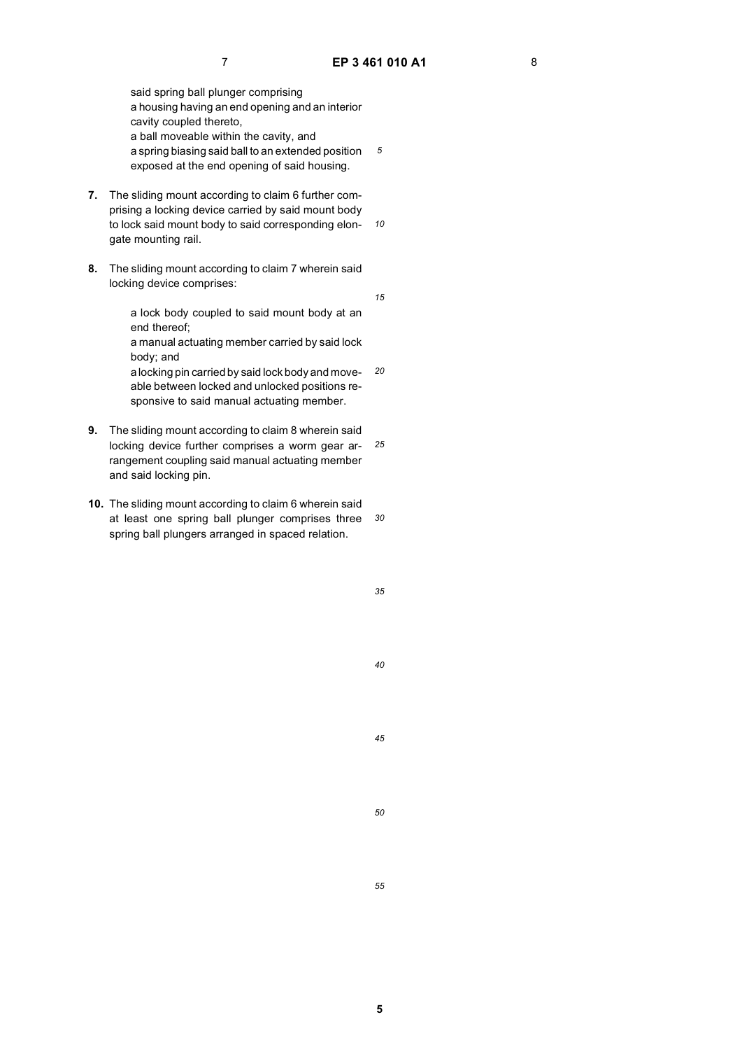said spring ball plunger comprising a housing having an end opening and an interior cavity coupled thereto, a ball moveable within the cavity, and a spring biasing said ball to an extended position exposed at the end opening of said housing.

- *10* **7.** The sliding mount according to claim 6 further comprising a locking device carried by said mount body to lock said mount body to said corresponding elongate mounting rail.
- **8.** The sliding mount according to claim 7 wherein said locking device comprises:

*15*

*20*

a lock body coupled to said mount body at an end thereof; a manual actuating member carried by said lock

body; and a locking pin carried by said lock body and move-

able between locked and unlocked positions responsive to said manual actuating member.

- *25* **9.** The sliding mount according to claim 8 wherein said locking device further comprises a worm gear arrangement coupling said manual actuating member and said locking pin.
- *30* **10.** The sliding mount according to claim 6 wherein said at least one spring ball plunger comprises three spring ball plungers arranged in spaced relation.

*40*

*45*

*50*

*55*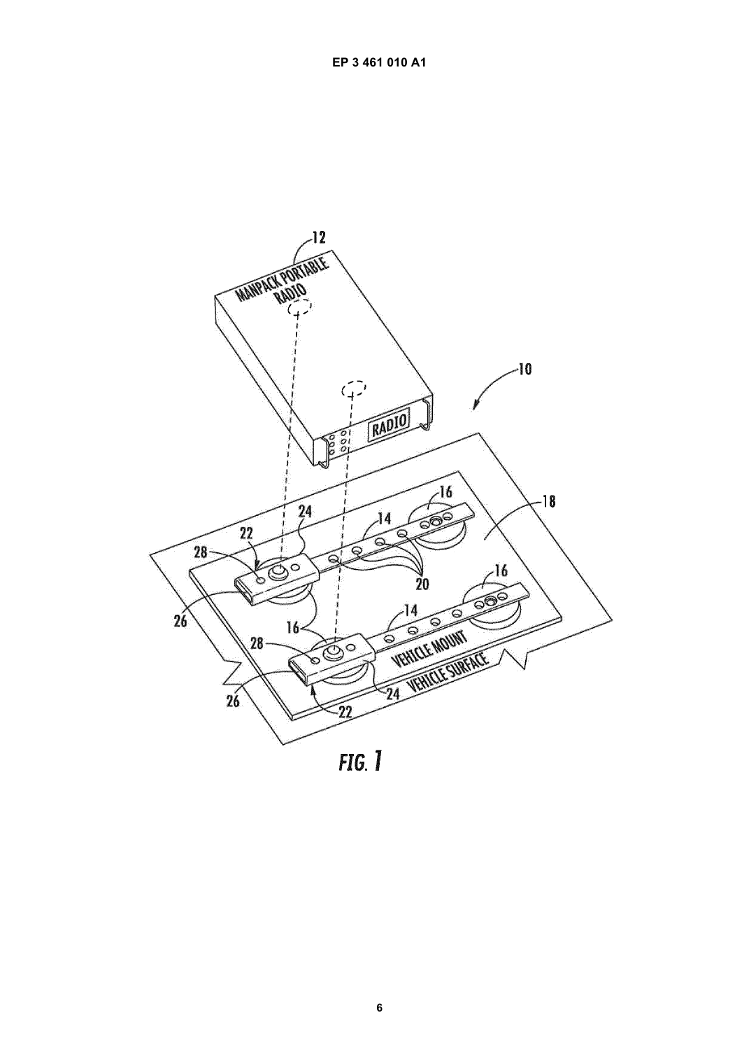

FIG. T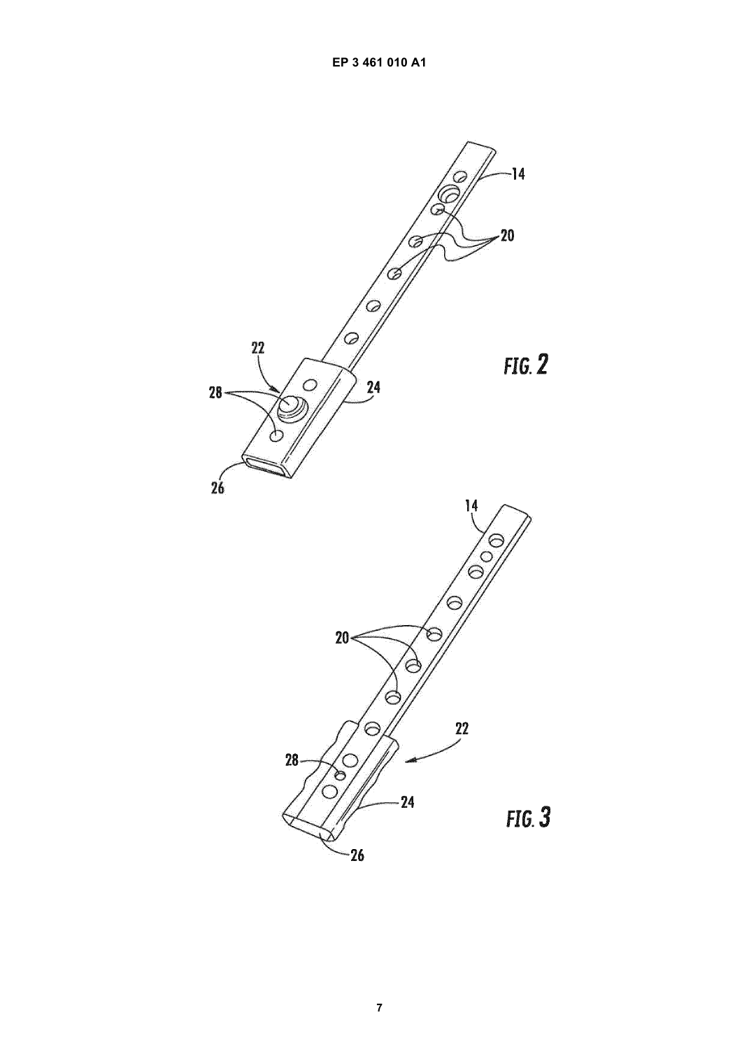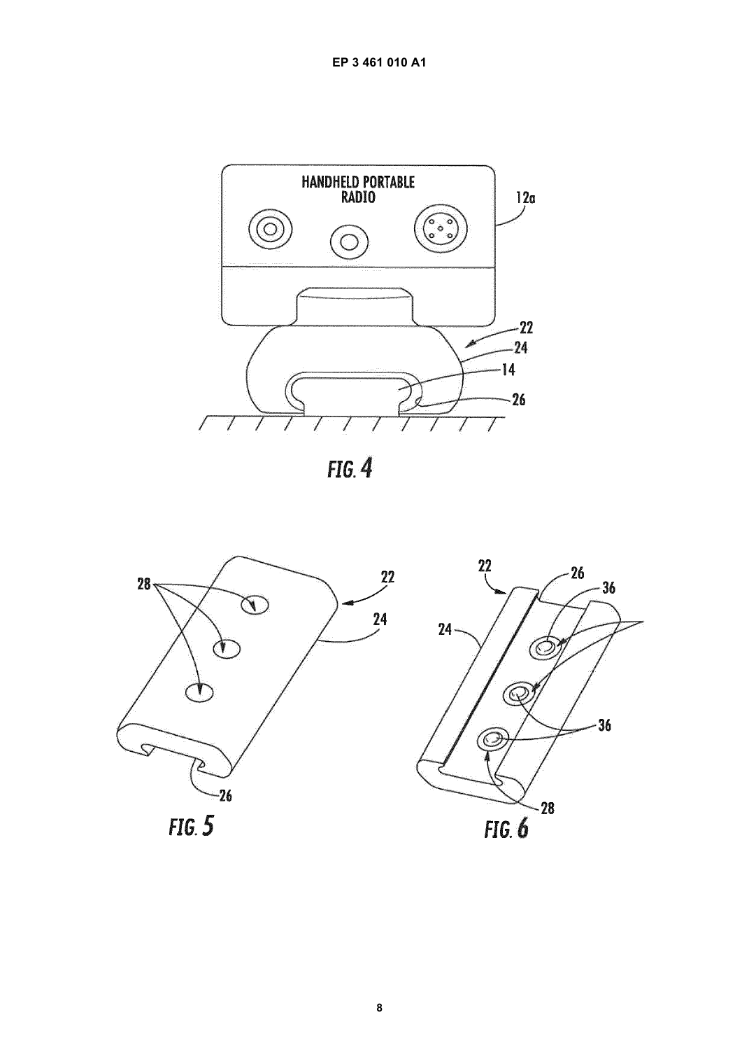**EP 3 461 010 A1**





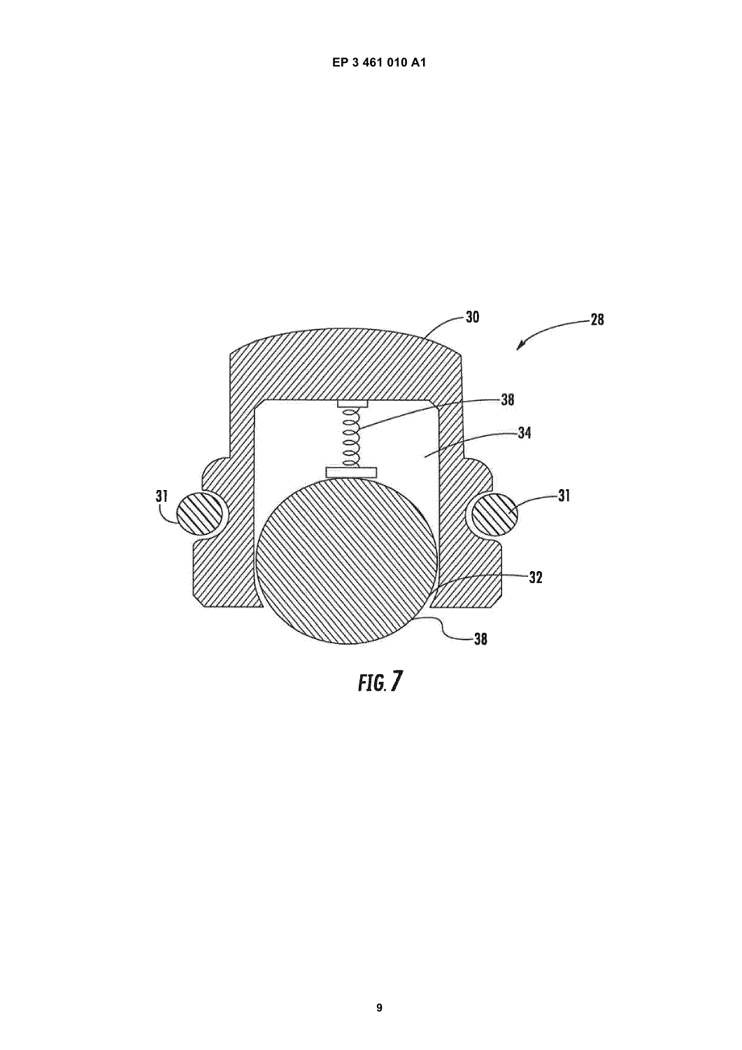

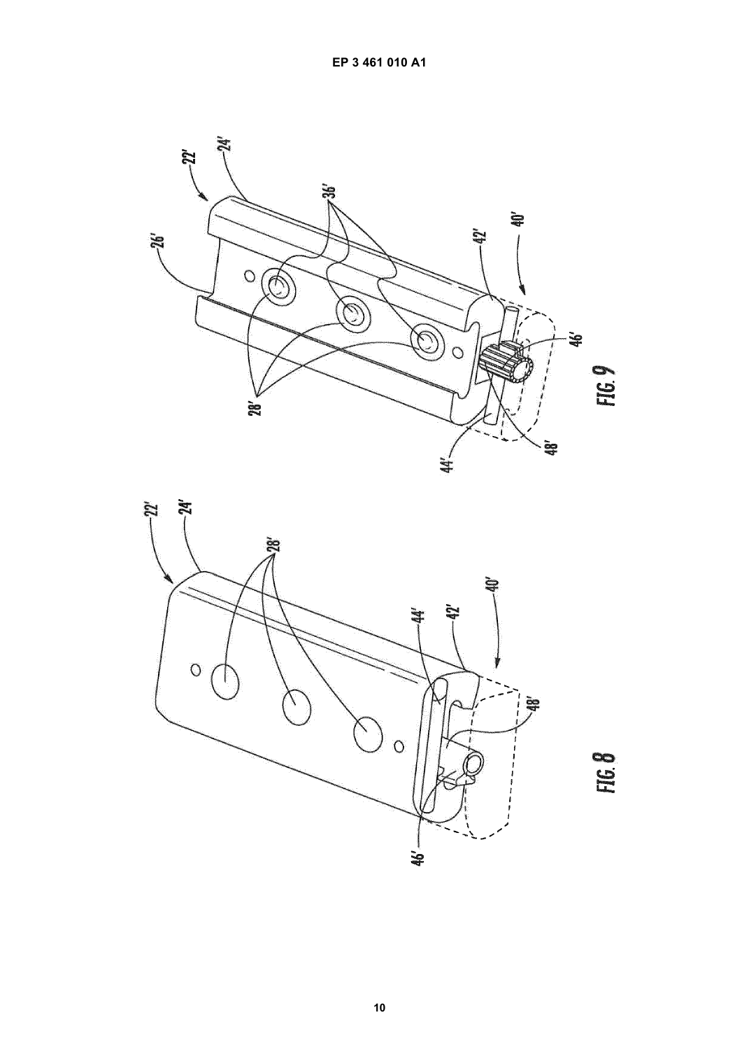

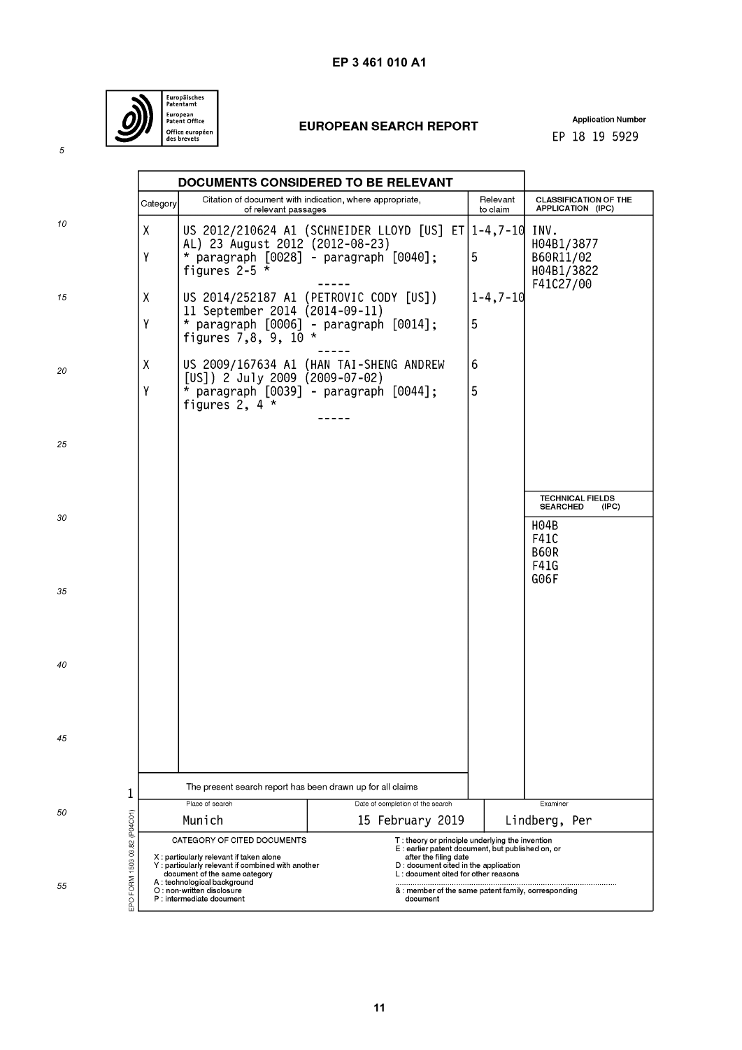

# **EUROPEAN SEARCH REPORT**

**Application Number** EP 18 19 5929

|                                   |                                                                                                                                                                                              | DOCUMENTS CONSIDERED TO BE RELEVANT                     |                                                                                                     |                                                                                                                                                                                                               |                                                                                                   |  |
|-----------------------------------|----------------------------------------------------------------------------------------------------------------------------------------------------------------------------------------------|---------------------------------------------------------|-----------------------------------------------------------------------------------------------------|---------------------------------------------------------------------------------------------------------------------------------------------------------------------------------------------------------------|---------------------------------------------------------------------------------------------------|--|
|                                   | Category                                                                                                                                                                                     | of relevant passages                                    | Citation of document with indication, where appropriate,                                            | Relevant<br>to claim                                                                                                                                                                                          | <b>CLASSIFICATION OF THE</b><br>APPLICATION (IPC)                                                 |  |
| 10                                | X<br>Υ                                                                                                                                                                                       | AL) 23 August 2012 (2012-08-23)<br>figures 2-5 $*$      | US 2012/210624 A1 (SCHNEIDER LLOYD [US] ET 1-4, 7-10 INV.<br>* paragraph [0028] - paragraph [0040]; | 5                                                                                                                                                                                                             | H04B1/3877<br>B60R11/02<br>H04B1/3822                                                             |  |
| 15                                | χ<br>Υ                                                                                                                                                                                       | 11 September 2014 (2014-09-11)<br>figures 7,8, 9, 10 *  | US 2014/252187 A1 (PETROVIC CODY [US])<br>* paragraph [0006] - paragraph [0014];                    | $1 - 4, 7 - 10$<br>5                                                                                                                                                                                          | F41C27/00                                                                                         |  |
| 20                                | χ<br>Υ                                                                                                                                                                                       | [US]) 2 July 2009 (2009-07-02)<br>figures 2, $4 \times$ | US 2009/167634 A1 (HAN TAI-SHENG ANDREW<br>* paragraph $[0039]$ - paragraph $[0044]$ ;              | 6<br>5                                                                                                                                                                                                        |                                                                                                   |  |
| 25                                |                                                                                                                                                                                              |                                                         |                                                                                                     |                                                                                                                                                                                                               |                                                                                                   |  |
| 30                                |                                                                                                                                                                                              |                                                         |                                                                                                     |                                                                                                                                                                                                               | <b>TECHNICAL FIELDS</b><br><b>SEARCHED</b><br>(IPC)<br><b>H04B</b><br>F41C<br><b>B60R</b><br>F41G |  |
| 35                                |                                                                                                                                                                                              |                                                         |                                                                                                     |                                                                                                                                                                                                               | G06F                                                                                              |  |
| 40                                |                                                                                                                                                                                              |                                                         |                                                                                                     |                                                                                                                                                                                                               |                                                                                                   |  |
| 45                                |                                                                                                                                                                                              |                                                         |                                                                                                     |                                                                                                                                                                                                               |                                                                                                   |  |
| 1                                 | The present search report has been drawn up for all claims                                                                                                                                   |                                                         |                                                                                                     |                                                                                                                                                                                                               |                                                                                                   |  |
| 50                                | Place of search                                                                                                                                                                              |                                                         | Date of completion of the search                                                                    |                                                                                                                                                                                                               | Examiner                                                                                          |  |
|                                   | Munich                                                                                                                                                                                       |                                                         |                                                                                                     | 15 February 2019<br>Lindberg, Per                                                                                                                                                                             |                                                                                                   |  |
| PO FORM 1503 03.82 (P04C01)<br>55 | CATEGORY OF CITED DOCUMENTS<br>X : particularly relevant if taken alone<br>Y: particularly relevant if combined with another<br>document of the same category<br>A: technological background |                                                         |                                                                                                     | T: theory or principle underlying the invention<br>E : earlier patent document, but published on, or<br>after the filing date<br>D : document cited in the application<br>L: document cited for other reasons |                                                                                                   |  |
|                                   | O : non-written disclosure<br>& : member of the same patent family, corresponding<br>P : intermediate document<br>document                                                                   |                                                         |                                                                                                     |                                                                                                                                                                                                               |                                                                                                   |  |